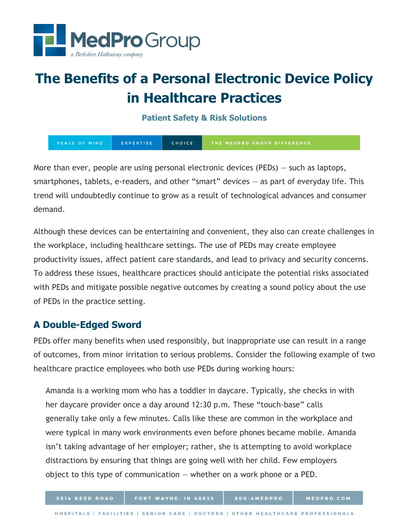

# **The Benefits of a Personal Electronic Device Policy in Healthcare Practices**

**Patient Safety & Risk Solutions**

| PEACE OF MIND | EXPERTISE | CHOICE | THE MEDPRO GROUP DIFFERENCE |
|---------------|-----------|--------|-----------------------------|
|---------------|-----------|--------|-----------------------------|

More than ever, people are using personal electronic devices (PEDs) — such as laptops, smartphones, tablets, e-readers, and other "smart" devices — as part of everyday life. This trend will undoubtedly continue to grow as a result of technological advances and consumer demand.

Although these devices can be entertaining and convenient, they also can create challenges in the workplace, including healthcare settings. The use of PEDs may create employee productivity issues, affect patient care standards, and lead to privacy and security concerns. To address these issues, healthcare practices should anticipate the potential risks associated with PEDs and mitigate possible negative outcomes by creating a sound policy about the use of PEDs in the practice setting.

## **A Double-Edged Sword**

PEDs offer many benefits when used responsibly, but inappropriate use can result in a range of outcomes, from minor irritation to serious problems. Consider the following example of two healthcare practice employees who both use PEDs during working hours:

Amanda is a working mom who has a toddler in daycare. Typically, she checks in with her daycare provider once a day around 12:30 p.m. These "touch-base" calls generally take only a few minutes. Calls like these are common in the workplace and were typical in many work environments even before phones became mobile. Amanda isn't taking advantage of her employer; rather, she is attempting to avoid workplace distractions by ensuring that things are going well with her child. Few employers object to this type of communication — whether on a work phone or a PED.

800-4MEDPRO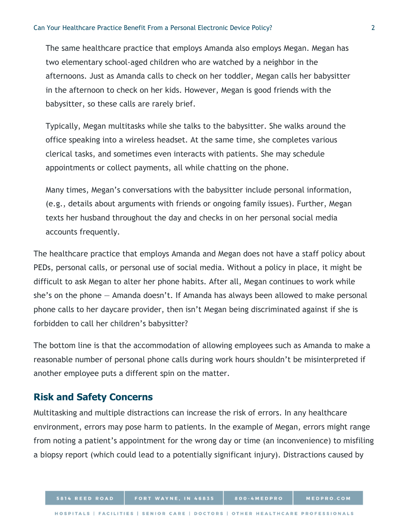The same healthcare practice that employs Amanda also employs Megan. Megan has two elementary school-aged children who are watched by a neighbor in the afternoons. Just as Amanda calls to check on her toddler, Megan calls her babysitter in the afternoon to check on her kids. However, Megan is good friends with the babysitter, so these calls are rarely brief.

Typically, Megan multitasks while she talks to the babysitter. She walks around the office speaking into a wireless headset. At the same time, she completes various clerical tasks, and sometimes even interacts with patients. She may schedule appointments or collect payments, all while chatting on the phone.

Many times, Megan's conversations with the babysitter include personal information, (e.g., details about arguments with friends or ongoing family issues). Further, Megan texts her husband throughout the day and checks in on her personal social media accounts frequently.

The healthcare practice that employs Amanda and Megan does not have a staff policy about PEDs, personal calls, or personal use of social media. Without a policy in place, it might be difficult to ask Megan to alter her phone habits. After all, Megan continues to work while she's on the phone — Amanda doesn't. If Amanda has always been allowed to make personal phone calls to her daycare provider, then isn't Megan being discriminated against if she is forbidden to call her children's babysitter?

The bottom line is that the accommodation of allowing employees such as Amanda to make a reasonable number of personal phone calls during work hours shouldn't be misinterpreted if another employee puts a different spin on the matter.

#### **Risk and Safety Concerns**

Multitasking and multiple distractions can increase the risk of errors. In any healthcare environment, errors may pose harm to patients. In the example of Megan, errors might range from noting a patient's appointment for the wrong day or time (an inconvenience) to misfiling a biopsy report (which could lead to a potentially significant injury). Distractions caused by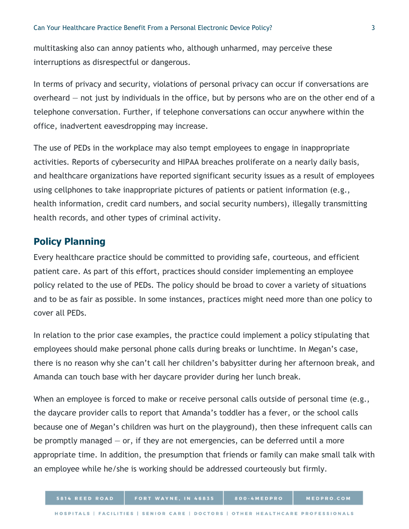multitasking also can annoy patients who, although unharmed, may perceive these interruptions as disrespectful or dangerous.

In terms of privacy and security, violations of personal privacy can occur if conversations are overheard — not just by individuals in the office, but by persons who are on the other end of a telephone conversation. Further, if telephone conversations can occur anywhere within the office, inadvertent eavesdropping may increase.

The use of PEDs in the workplace may also tempt employees to engage in inappropriate activities. Reports of cybersecurity and HIPAA breaches proliferate on a nearly daily basis, and healthcare organizations have reported significant security issues as a result of employees using cellphones to take inappropriate pictures of patients or patient information (e.g., health information, credit card numbers, and social security numbers), illegally transmitting health records, and other types of criminal activity.

### **Policy Planning**

Every healthcare practice should be committed to providing safe, courteous, and efficient patient care. As part of this effort, practices should consider implementing an employee policy related to the use of PEDs. The policy should be broad to cover a variety of situations and to be as fair as possible. In some instances, practices might need more than one policy to cover all PEDs.

In relation to the prior case examples, the practice could implement a policy stipulating that employees should make personal phone calls during breaks or lunchtime. In Megan's case, there is no reason why she can't call her children's babysitter during her afternoon break, and Amanda can touch base with her daycare provider during her lunch break.

When an employee is forced to make or receive personal calls outside of personal time (e.g., the daycare provider calls to report that Amanda's toddler has a fever, or the school calls because one of Megan's children was hurt on the playground), then these infrequent calls can be promptly managed  $-$  or, if they are not emergencies, can be deferred until a more appropriate time. In addition, the presumption that friends or family can make small talk with an employee while he/she is working should be addressed courteously but firmly.

800-4MEDPRO